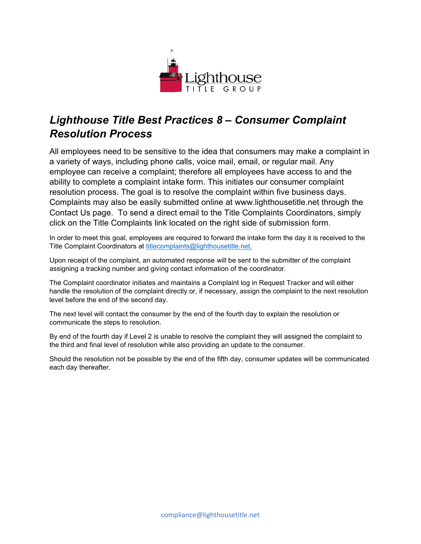

## *Lighthouse Title Best Practices 8 – Consumer Complaint Resolution Process*

All employees need to be sensitive to the idea that consumers may make a complaint in a variety of ways, including phone calls, voice mail, email, or regular mail. Any employee can receive a complaint; therefore all employees have access to and the ability to complete a complaint intake form. This initiates our consumer complaint resolution process. The goal is to resolve the complaint within five business days. Complaints may also be easily submitted online at www.lighthousetitle.net through the Contact Us page. To send a direct email to the Title Complaints Coordinators, simply click on the Title Complaints link located on the right side of submission form.

In order to meet this goal, employees are required to forward the intake form the day it is received to the Title Complaint Coordinators at [titlecomplaints@lighthousetitle.net.](mailto:titlecomplaints@lighthousegroup.net)

Upon receipt of the complaint, an automated response will be sent to the submitter of the complaint assigning a tracking number and giving contact information of the coordinator.

The Complaint coordinator initiates and maintains a Complaint log in Request Tracker and will either handle the resolution of the complaint directly or, if necessary, assign the complaint to the next resolution level before the end of the second day.

The next level will contact the consumer by the end of the fourth day to explain the resolution or communicate the steps to resolution.

By end of the fourth day if Level 2 is unable to resolve the complaint they will assigned the complaint to the third and final level of resolution while also providing an update to the consumer.

Should the resolution not be possible by the end of the fifth day, consumer updates will be communicated each day thereafter.